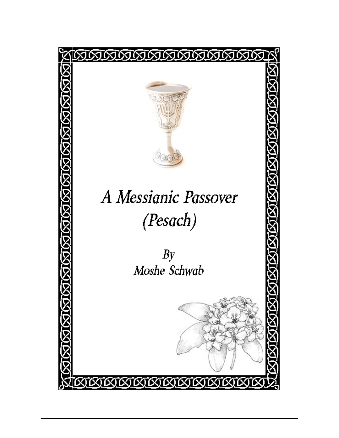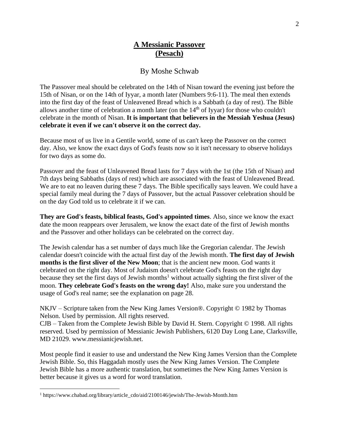# By Moshe Schwab

The Passover meal should be celebrated on the 14th of Nisan toward the evening just before the 15th of Nisan, or on the 14th of Iyyar, a month later (Numbers 9:6-11). The meal then extends into the first day of the feast of Unleavened Bread which is a Sabbath (a day of rest). The Bible allows another time of celebration a month later (on the  $14<sup>th</sup>$  of Iyyar) for those who couldn't celebrate in the month of Nisan. **It is important that believers in the Messiah Yeshua (Jesus) celebrate it even if we can't observe it on the correct day.**

Because most of us live in a Gentile world, some of us can't keep the Passover on the correct day. Also, we know the exact days of God's feasts now so it isn't necessary to observe holidays for two days as some do.

Passover and the feast of Unleavened Bread lasts for 7 days with the 1st (the 15th of Nisan) and 7th days being Sabbaths (days of rest) which are associated with the feast of Unleavened Bread. We are to eat no leaven during these 7 days. The Bible specifically says leaven. We could have a special family meal during the 7 days of Passover, but the actual Passover celebration should be on the day God told us to celebrate it if we can.

**They are God's feasts, biblical feasts, God's appointed times**. Also, since we know the exact date the moon reappears over Jerusalem, we know the exact date of the first of Jewish months and the Passover and other holidays can be celebrated on the correct day.

The Jewish calendar has a set number of days much like the Gregorian calendar. The Jewish calendar doesn't coincide with the actual first day of the Jewish month. **The first day of Jewish months is the first sliver of the New Moon**; that is the ancient new moon. God wants it celebrated on the right day. Most of Judaism doesn't celebrate God's feasts on the right day because they set the first days of Jewish months<sup>1</sup> without actually sighting the first sliver of the moon. **They celebrate God's feasts on the wrong day!** Also, make sure you understand the usage of God's real name; see the explanation on page 28.

NKJV – Scripture taken from the New King James Version®. Copyright © 1982 by Thomas Nelson. Used by permission. All rights reserved.

CJB – Taken from the Complete Jewish Bible by David H. Stern. Copyright © 1998. All rights reserved. Used by permission of Messianic Jewish Publishers, 6120 Day Long Lane, Clarksville, MD 21029. www.messianicjewish.net.

Most people find it easier to use and understand the New King James Version than the Complete Jewish Bible. So, this Haggadah mostly uses the New King James Version. The Complete Jewish Bible has a more authentic translation, but sometimes the New King James Version is better because it gives us a word for word translation.

<sup>1</sup> https://www.chabad.org/library/article\_cdo/aid/2100146/jewish/The-Jewish-Month.htm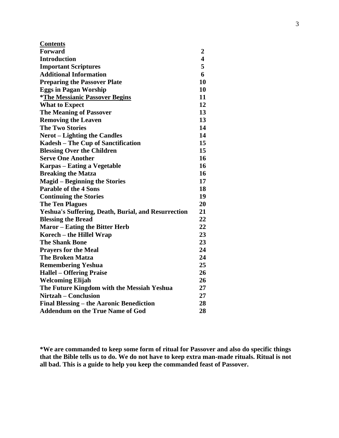| <b>Contents</b>                                     |                         |
|-----------------------------------------------------|-------------------------|
| <b>Forward</b>                                      | 2                       |
| <b>Introduction</b>                                 | $\overline{\mathbf{4}}$ |
| <b>Important Scriptures</b>                         | 5                       |
| <b>Additional Information</b>                       | 6                       |
| <b>Preparing the Passover Plate</b>                 | 10                      |
| <b>Eggs in Pagan Worship</b>                        | 10                      |
| <i>*The Messianic Passover Begins</i>               | 11                      |
| <b>What to Expect</b>                               | 12                      |
| <b>The Meaning of Passover</b>                      | 13                      |
| <b>Removing the Leaven</b>                          | 13                      |
| <b>The Two Stories</b>                              | 14                      |
| <b>Nerot</b> – Lighting the Candles                 | 14                      |
| Kadesh – The Cup of Sanctification                  | 15                      |
| <b>Blessing Over the Children</b>                   | 15                      |
| <b>Serve One Another</b>                            | 16                      |
| Karpas – Eating a Vegetable                         | 16                      |
| <b>Breaking the Matza</b>                           | 16                      |
| <b>Magid – Beginning the Stories</b>                | 17                      |
| <b>Parable of the 4 Sons</b>                        | 18                      |
| <b>Continuing the Stories</b>                       | 19                      |
| <b>The Ten Plagues</b>                              | 20                      |
| Yeshua's Suffering, Death, Burial, and Resurrection | 21                      |
| <b>Blessing the Bread</b>                           | 22                      |
| <b>Maror</b> – Eating the Bitter Herb               | 22                      |
| Korech – the Hillel Wrap                            | 23                      |
| <b>The Shank Bone</b>                               | 23                      |
| <b>Prayers for the Meal</b>                         | 24                      |
| <b>The Broken Matza</b>                             | 24                      |
| <b>Remembering Yeshua</b>                           | 25                      |
| <b>Hallel – Offering Praise</b>                     | 26                      |
| <b>Welcoming Elijah</b>                             | 26                      |
| The Future Kingdom with the Messiah Yeshua          | 27                      |
| <b>Nirtzah – Conclusion</b>                         | 27                      |
| Final Blessing – the Aaronic Benediction            | 28                      |
| <b>Addendum on the True Name of God</b>             | 28                      |
|                                                     |                         |

**\*We are commanded to keep some form of ritual for Passover and also do specific things that the Bible tells us to do. We do not have to keep extra man-made rituals. Ritual is not all bad. This is a guide to help you keep the commanded feast of Passover.**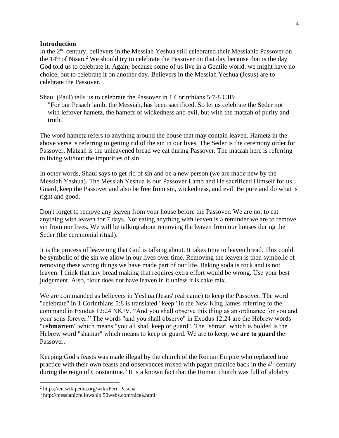### **Introduction**

In the 2<sup>nd</sup> century, believers in the Messiah Yeshua still celebrated their Messianic Passover on the  $14<sup>th</sup>$  of Nisan.<sup>2</sup> We should try to celebrate the Passover on that day because that is the day God told us to celebrate it. Again, because some of us live in a Gentile world, we might have no choice, but to celebrate it on another day. Believers in the Messiah Yeshua (Jesus) are to celebrate the Passover.

Shaul (Paul) tells us to celebrate the Passover in 1 Corinthians 5:7-8 CJB:

"For our Pesach lamb, the Messiah, has been sacrificed. So let us celebrate the Seder not with leftover hametz, the hametz of wickedness and evil, but with the matzah of purity and truth."

The word hametz refers to anything around the house that may contain leaven. Hametz in the above verse is referring to getting rid of the sin in our lives. The Seder is the ceremony order for Passover. Matzah is the unleavened bread we eat during Passover. The matzah here is referring to living without the impurities of sin.

In other words, Shaul says to get rid of sin and be a new person (we are made new by the Messiah Yeshua). The Messiah Yeshua is our Passover Lamb and He sacrificed Himself for us. Guard, keep the Passover and also be free from sin, wickedness, and evil. Be pure and do what is right and good.

Don't forget to remove any leaven from your house before the Passover. We are not to eat anything with leaven for 7 days. Not eating anything with leaven is a reminder we are to remove sin from our lives. We will be talking about removing the leaven from our houses during the Seder (the ceremonial ritual).

It is the process of leavening that God is talking about. It takes time to leaven bread. This could be symbolic of the sin we allow in our lives over time. Removing the leaven is then symbolic of removing these wrong things we have made part of our life. Baking soda is rock and is not leaven. I think that any bread making that requires extra effort would be wrong. Use your best judgement. Also, flour does not have leaven in it unless it is cake mix.

We are commanded as believers in Yeshua (Jesus' real name) to keep the Passover. The word "celebrate" in 1 Corinthians 5:8 is translated "keep" in the New King James referring to the command in Exodus 12:24 NKJV. "And you shall observe this thing as an ordinance for you and your sons forever." The words "and you shall observe" in Exodus 12:24 are the Hebrew words "u**shmar**tem" which means "you all shall keep or guard". The "shmar" which is bolded is the Hebrew word "shamar" which means to keep or guard. We are to keep; **we are to guard** the Passover.

Keeping God's feasts was made illegal by the church of the Roman Empire who replaced true practice with their own feasts and observances mixed with pagan practice back in the  $4<sup>th</sup>$  century during the reign of Constantine.<sup>3</sup> It is a known fact that the Roman church was full of idolatry

<sup>2</sup> https://en.wikipedia.org/wiki/Peri\_Pascha

<sup>3</sup> http://messianicfellowship.50webs.com/nicea.html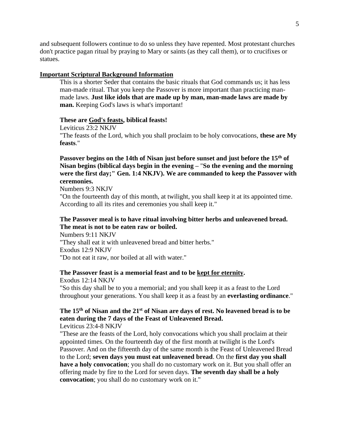and subsequent followers continue to do so unless they have repented. Most protestant churches don't practice pagan ritual by praying to Mary or saints (as they call them), or to crucifixes or statues.

#### **Important Scriptural Background Information**

This is a shorter Seder that contains the basic rituals that God commands us; it has less man-made ritual. That you keep the Passover is more important than practicing manmade laws. **Just like idols that are made up by man, man-made laws are made by man.** Keeping God's laws is what's important!

#### **These are God's feasts, biblical feasts!**

Leviticus 23:2 NKJV "The feasts of the Lord, which you shall proclaim to be holy convocations, **these are My feasts**."

# **Passover begins on the 14th of Nisan just before sunset and just before the 15th of Nisan begins (biblical days begin in the evening –** "**So the evening and the morning were the first day;" Gen. 1:4 NKJV). We are commanded to keep the Passover with ceremonies.**

Numbers 9:3 NKJV

"On the fourteenth day of this month, at twilight, you shall keep it at its appointed time. According to all its rites and ceremonies you shall keep it."

# **The Passover meal is to have ritual involving bitter herbs and unleavened bread. The meat is not to be eaten raw or boiled.**

Numbers 9:11 NKJV "They shall eat it with unleavened bread and bitter herbs." Exodus 12:9 NKJV "Do not eat it raw, nor boiled at all with water."

#### **The Passover feast is a memorial feast and to be kept for eternity.**

Exodus 12:14 NKJV "So this day shall be to you a memorial; and you shall keep it as a feast to the Lord throughout your generations. You shall keep it as a feast by an **everlasting ordinance**."

# **The 15th of Nisan and the 21 st of Nisan are days of rest. No leavened bread is to be eaten during the 7 days of the Feast of Unleavened Bread.**

# Leviticus 23:4-8 NKJV

"These are the feasts of the Lord, holy convocations which you shall proclaim at their appointed times. On the fourteenth day of the first month at twilight is the Lord's Passover. And on the fifteenth day of the same month is the Feast of Unleavened Bread to the Lord; **seven days you must eat unleavened bread**. On the **first day you shall have a holy convocation**; you shall do no customary work on it. But you shall offer an offering made by fire to the Lord for seven days. **The seventh day shall be a holy convocation**; you shall do no customary work on it."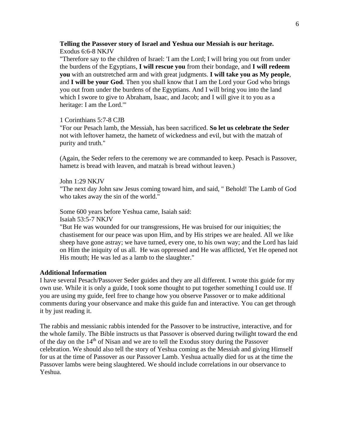### **Telling the Passover story of Israel and Yeshua our Messiah is our heritage.** Exodus 6:6-8 NKJV

"Therefore say to the children of Israel: 'I am the Lord; I will bring you out from under the burdens of the Egyptians, **I will rescue you** from their bondage, and **I will redeem you** with an outstretched arm and with great judgments. **I will take you as My people**, and **I will be your God**. Then you shall know that I am the Lord your God who brings you out from under the burdens of the Egyptians. And I will bring you into the land which I swore to give to Abraham, Isaac, and Jacob; and I will give it to you as a heritage: I am the Lord.'"

#### 1 Corinthians 5:7-8 CJB

"For our Pesach lamb, the Messiah, has been sacrificed. **So let us celebrate the Seder** not with leftover hametz, the hametz of wickedness and evil, but with the matzah of purity and truth."

(Again, the Seder refers to the ceremony we are commanded to keep. Pesach is Passover, hametz is bread with leaven, and matzah is bread without leaven.)

#### John 1:29 NKJV

"The next day John saw Jesus coming toward him, and said, " Behold! The Lamb of God who takes away the sin of the world."

Some 600 years before Yeshua came, Isaiah said: Isaiah 53:5-7 NKJV

"But He was wounded for our transgressions, He was bruised for our iniquities; the chastisement for our peace was upon Him, and by His stripes we are healed. All we like sheep have gone astray; we have turned, every one, to his own way; and the Lord has laid on Him the iniquity of us all. He was oppressed and He was afflicted, Yet He opened not His mouth; He was led as a lamb to the slaughter."

#### **Additional Information**

I have several Pesach/Passover Seder guides and they are all different. I wrote this guide for my own use. While it is only a guide, I took some thought to put together something I could use. If you are using my guide, feel free to change how you observe Passover or to make additional comments during your observance and make this guide fun and interactive. You can get through it by just reading it.

The rabbis and messianic rabbis intended for the Passover to be instructive, interactive, and for the whole family. The Bible instructs us that Passover is observed during twilight toward the end of the day on the 14<sup>th</sup> of Nisan and we are to tell the Exodus story during the Passover celebration. We should also tell the story of Yeshua coming as the Messiah and giving Himself for us at the time of Passover as our Passover Lamb. Yeshua actually died for us at the time the Passover lambs were being slaughtered. We should include correlations in our observance to Yeshua.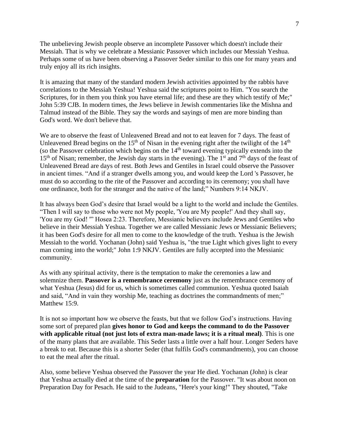The unbelieving Jewish people observe an incomplete Passover which doesn't include their Messiah. That is why we celebrate a Messianic Passover which includes our Messiah Yeshua. Perhaps some of us have been observing a Passover Seder similar to this one for many years and truly enjoy all its rich insights.

It is amazing that many of the standard modern Jewish activities appointed by the rabbis have correlations to the Messiah Yeshua! Yeshua said the scriptures point to Him. "You search the Scriptures, for in them you think you have eternal life; and these are they which testify of Me;" John 5:39 CJB. In modern times, the Jews believe in Jewish commentaries like the Mishna and Talmud instead of the Bible. They say the words and sayings of men are more binding than God's word. We don't believe that.

We are to observe the feast of Unleavened Bread and not to eat leaven for 7 days. The feast of Unleavened Bread begins on the 15<sup>th</sup> of Nisan in the evening right after the twilight of the 14<sup>th</sup> (so the Passover celebration which begins on the 14th toward evening typically extends into the  $15<sup>th</sup>$  of Nisan; remember, the Jewish day starts in the evening). The 1<sup>st</sup> and 7<sup>th</sup> days of the feast of Unleavened Bread are days of rest. Both Jews and Gentiles in Israel could observe the Passover in ancient times. "And if a stranger dwells among you, and would keep the Lord 's Passover, he must do so according to the rite of the Passover and according to its ceremony; you shall have one ordinance, both for the stranger and the native of the land;" Numbers 9:14 NKJV.

It has always been God's desire that Israel would be a light to the world and include the Gentiles. "Then I will say to those who were not My people, 'You are My people!' And they shall say, 'You are my God! '" Hosea 2:23. Therefore, Messianic believers include Jews and Gentiles who believe in their Messiah Yeshua. Together we are called Messianic Jews or Messianic Believers; it has been God's desire for all men to come to the knowledge of the truth. Yeshua is the Jewish Messiah to the world. Yochanan (John) said Yeshua is, "the true Light which gives light to every man coming into the world;" John 1:9 NKJV. Gentiles are fully accepted into the Messianic community.

As with any spiritual activity, there is the temptation to make the ceremonies a law and solemnize them. **Passover is a remembrance ceremony** just as the remembrance ceremony of what Yeshua (Jesus) did for us, which is sometimes called communion. Yeshua quoted Isaiah and said, "And in vain they worship Me, teaching as doctrines the commandments of men;" Matthew 15:9.

It is not so important how we observe the feasts, but that we follow God's instructions. Having some sort of prepared plan **gives honor to God and keeps the command to do the Passover with applicable ritual (not just lots of extra man-made laws; it is a ritual meal)**. This is one of the many plans that are available. This Seder lasts a little over a half hour. Longer Seders have a break to eat. Because this is a shorter Seder (that fulfils God's commandments), you can choose to eat the meal after the ritual.

Also, some believe Yeshua observed the Passover the year He died. Yochanan (John) is clear that Yeshua actually died at the time of the **preparation** for the Passover. "It was about noon on Preparation Day for Pesach. He said to the Judeans, "Here's your king!" They shouted, "Take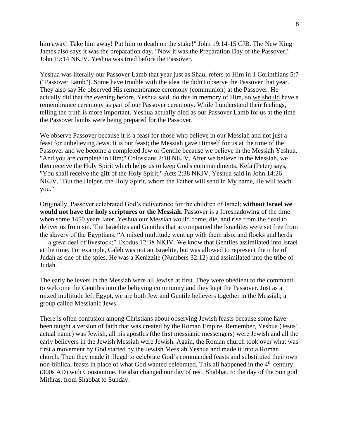him away! Take him away! Put him to death on the stake!" John 19:14-15 CJB. The New King James also says it was the preparation day. "Now it was the Preparation Day of the Passover;" John 19:14 NKJV. Yeshua was tried before the Passover.

Yeshua was literally our Passover Lamb that year just as Shaul refers to Him in 1 Corinthians 5:7 ("Passover Lamb"). Some have trouble with the idea He didn't observe the Passover that year. They also say He observed His remembrance ceremony (communion) at the Passover. He actually did that the evening before. Yeshua said, do this in memory of Him, so we should have a remembrance ceremony as part of our Passover ceremony. While I understand their feelings, telling the truth is more important. Yeshua actually died as our Passover Lamb for us at the time the Passover lambs were being prepared for the Passover.

We observe Passover because it is a feast for those who believe in our Messiah and not just a feast for unbelieving Jews. It is our feast; the Messiah gave Himself for us at the time of the Passover and we become a completed Jew or Gentile because we believe in the Messiah Yeshua. "And you are complete in Him;" Colossians 2:10 NKJV. After we believe in the Messiah, we then receive the Holy Spirit which helps us to keep God's commandments. Kefa (Peter) says, "You shall receive the gift of the Holy Spirit;" Acts 2:38 NKJV. Yeshua said in John 14:26 NKJV, "But the Helper, the Holy Spirit, whom the Father will send in My name, He will teach you."

Originally, Passover celebrated God's deliverance for the children of Israel; **without Israel we would not have the holy scriptures or the Messiah**. Passover is a foreshadowing of the time when some 1450 years later, Yeshua our Messiah would come, die, and rise from the dead to deliver us from sin. The Israelites and Gentiles that accompanied the Israelites were set free from the slavery of the Egyptians. "A mixed multitude went up with them also, and flocks and herds — a great deal of livestock;" Exodus 12:38 NKJV. We know that Gentiles assimilated into Israel at the time. For example, Caleb was not an Israelite, but was allowed to represent the tribe of Judah as one of the spies. He was a Kenizzite (Numbers 32:12) and assimilated into the tribe of Judah.

The early believers in the Messiah were all Jewish at first. They were obedient to the command to welcome the Gentiles into the believing community and they kept the Passover. Just as a mixed multitude left Egypt, we are both Jew and Gentile believers together in the Messiah; a group called Messianic Jews.

There is often confusion among Christians about observing Jewish feasts because some have been taught a version of faith that was created by the Roman Empire. Remember, Yeshua (Jesus' actual name) was Jewish, all his apostles (the first messianic messengers) were Jewish and all the early believers in the Jewish Messiah were Jewish. Again, the Roman church took over what was first a movement by God started by the Jewish Messiah Yeshua and made it into a Roman church. Then they made it illegal to celebrate God's commanded feasts and substituted their own non-biblical feasts in place of what God wanted celebrated. This all happened in the  $4<sup>th</sup>$  century (300s AD) with Constantine. He also changed our day of rest, Shabbat, to the day of the Sun god Mithras, from Shabbat to Sunday.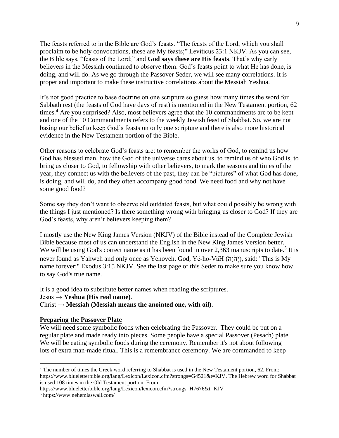The feasts referred to in the Bible are God's feasts. "The feasts of the Lord, which you shall proclaim to be holy convocations, these are My feasts;" Leviticus 23:1 NKJV. As you can see, the Bible says, "feasts of the Lord;" and **God says these are His feasts**. That's why early believers in the Messiah continued to observe them. God's feasts point to what He has done, is doing, and will do. As we go through the Passover Seder, we will see many correlations. It is proper and important to make these instructive correlations about the Messiah Yeshua.

It's not good practice to base doctrine on one scripture so guess how many times the word for Sabbath rest (the feasts of God have days of rest) is mentioned in the New Testament portion, 62 times.<sup>4</sup> Are you surprised? Also, most believers agree that the 10 commandments are to be kept and one of the 10 Commandments refers to the weekly Jewish feast of Shabbat. So, we are not basing our belief to keep God's feasts on only one scripture and there is also more historical evidence in the New Testament portion of the Bible.

Other reasons to celebrate God's feasts are: to remember the works of God, to remind us how God has blessed man, how the God of the universe cares about us, to remind us of who God is, to bring us closer to God, to fellowship with other believers, to mark the seasons and times of the year, they connect us with the believers of the past, they can be "pictures" of what God has done, is doing, and will do, and they often accompany good food. We need food and why not have some good food?

Some say they don't want to observe old outdated feasts, but what could possibly be wrong with the things I just mentioned? Is there something wrong with bringing us closer to God? If they are God's feasts, why aren't believers keeping them?

I mostly use the New King James Version (NKJV) of the Bible instead of the Complete Jewish Bible because most of us can understand the English in the New King James Version better. We will be using God's correct name as it has been found in over 2,363 manuscripts to date.<sup>5</sup> It is never found as Yahweh and only once as Yehoveh. God, Yĕ-hō-VăH (יְהֹוָה), said: "This is My name forever;" Exodus 3:15 NKJV. See the last page of this Seder to make sure you know how to say God's true name.

It is a good idea to substitute better names when reading the scriptures. Jesus → **Yeshua (His real name)**.

Christ  $\rightarrow$  **Messiah (Messiah means the anointed one, with oil).** 

### **Preparing the Passover Plate**

We will need some symbolic foods when celebrating the Passover. They could be put on a regular plate and made ready into pieces. Some people have a special Passover (Pesach) plate. We will be eating symbolic foods during the ceremony. Remember it's not about following lots of extra man-made ritual. This is a remembrance ceremony. We are commanded to keep

<sup>4</sup> The number of times the Greek word referring to Shabbat is used in the New Testament portion, 62. From: https://www.blueletterbible.org/lang/Lexicon/Lexicon.cfm?strongs=G4521&t=KJV. The Hebrew word for Shabbat is used 108 times in the Old Testament portion. From:

https://www.blueletterbible.org/lang/Lexicon/lexicon.cfm?strongs=H7676&t=KJV

<sup>5</sup> https://www.nehemiaswall.com/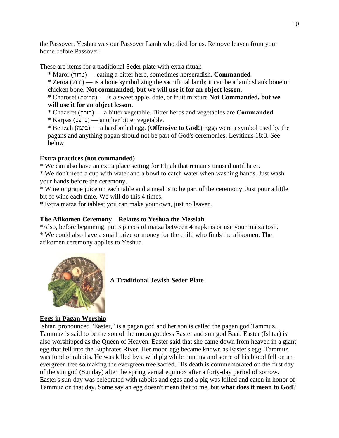the Passover. Yeshua was our Passover Lamb who died for us. Remove leaven from your home before Passover.

These are items for a traditional Seder plate with extra ritual:

\* Maror (מרור — (eating a bitter herb, sometimes horseradish. **Commanded** 

\* Zeroa (זרוע — (is a bone symbolizing the sacrificial lamb; it can be a lamb shank bone or chicken bone. **Not commanded, but we will use it for an object lesson.** 

\* Charoset (חרוסת — (is a sweet apple, date, or fruit mixture **Not Commanded, but we will use it for an object lesson.** 

\* Chazeret (חזרת — (a bitter vegetable. Bitter herbs and vegetables are **Commanded**

\* Karpas (כרפס — (another bitter vegetable.

\* Beitzah (ביצה — (a hardboiled egg. (**Offensive to God!**) Eggs were a symbol used by the pagans and anything pagan should not be part of God's ceremonies; Leviticus 18:3. See below!

# **Extra practices (not commanded)**

\* We can also have an extra place setting for Elijah that remains unused until later.

\* We don't need a cup with water and a bowl to catch water when washing hands. Just wash your hands before the ceremony.

\* Wine or grape juice on each table and a meal is to be part of the ceremony. Just pour a little bit of wine each time. We will do this 4 times.

\* Extra matza for tables; you can make your own, just no leaven.

# **The Afikomen Ceremony – Relates to Yeshua the Messiah**

\*Also, before beginning, put 3 pieces of matza between 4 napkins or use your matza tosh. \* We could also have a small prize or money for the child who finds the afikomen. The afikomen ceremony applies to Yeshua



**A Traditional Jewish Seder Plate**

# **Eggs in Pagan Worship**

Ishtar, pronounced "Easter," is a pagan god and her son is called the pagan god Tammuz. Tammuz is said to be the son of the moon goddess Easter and sun god Baal. Easter (Ishtar) is also worshipped as the Queen of Heaven. Easter said that she came down from heaven in a giant egg that fell into the Euphrates River. Her moon egg became known as Easter's egg. Tammuz was fond of rabbits. He was killed by a wild pig while hunting and some of his blood fell on an evergreen tree so making the evergreen tree sacred. His death is commemorated on the first day of the sun god (Sunday) after the spring vernal equinox after a forty-day period of sorrow. Easter's sun-day was celebrated with rabbits and eggs and a pig was killed and eaten in honor of Tammuz on that day. Some say an egg doesn't mean that to me, but **what does it mean to God**?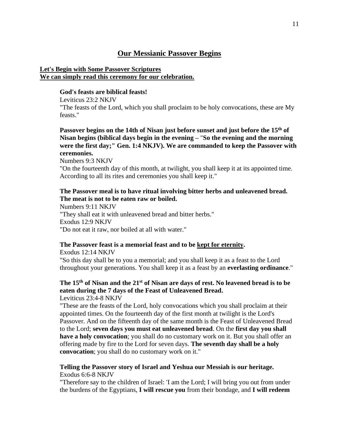# **Our Messianic Passover Begins**

# **Let's Begin with Some Passover Scriptures We can simply read this ceremony for our celebration.**

### **God's feasts are biblical feasts!**

Leviticus 23:2 NKJV "The feasts of the Lord, which you shall proclaim to be holy convocations, these are My feasts."

**Passover begins on the 14th of Nisan just before sunset and just before the 15th of Nisan begins (biblical days begin in the evening –** "**So the evening and the morning were the first day;" Gen. 1:4 NKJV). We are commanded to keep the Passover with ceremonies.** 

Numbers 9:3 NKJV

"On the fourteenth day of this month, at twilight, you shall keep it at its appointed time. According to all its rites and ceremonies you shall keep it."

# **The Passover meal is to have ritual involving bitter herbs and unleavened bread. The meat is not to be eaten raw or boiled.**

Numbers 9:11 NKJV "They shall eat it with unleavened bread and bitter herbs." Exodus 12:9 NKJV "Do not eat it raw, nor boiled at all with water."

### **The Passover feast is a memorial feast and to be kept for eternity.**

Exodus 12:14 NKJV "So this day shall be to you a memorial; and you shall keep it as a feast to the Lord throughout your generations. You shall keep it as a feast by an **everlasting ordinance**."

### **The 15th of Nisan and the 21 st of Nisan are days of rest. No leavened bread is to be eaten during the 7 days of the Feast of Unleavened Bread.**  Leviticus 23:4-8 NKJV

"These are the feasts of the Lord, holy convocations which you shall proclaim at their appointed times. On the fourteenth day of the first month at twilight is the Lord's Passover. And on the fifteenth day of the same month is the Feast of Unleavened Bread to the Lord; **seven days you must eat unleavened bread**. On the **first day you shall have a holy convocation**; you shall do no customary work on it. But you shall offer an offering made by fire to the Lord for seven days. **The seventh day shall be a holy convocation**; you shall do no customary work on it."

# **Telling the Passover story of Israel and Yeshua our Messiah is our heritage.** Exodus 6:6-8 NKJV

"Therefore say to the children of Israel: 'I am the Lord; I will bring you out from under the burdens of the Egyptians, **I will rescue you** from their bondage, and **I will redeem**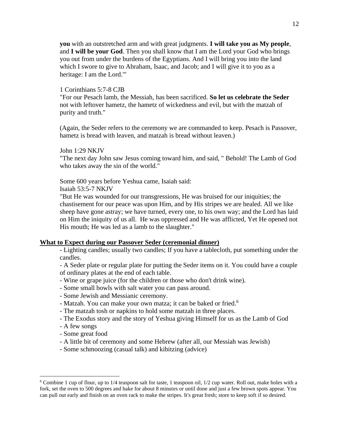**you** with an outstretched arm and with great judgments. **I will take you as My people**, and **I will be your God**. Then you shall know that I am the Lord your God who brings you out from under the burdens of the Egyptians. And I will bring you into the land which I swore to give to Abraham, Isaac, and Jacob; and I will give it to you as a heritage: I am the Lord.'"

#### 1 Corinthians 5:7-8 CJB

"For our Pesach lamb, the Messiah, has been sacrificed. **So let us celebrate the Seder** not with leftover hametz, the hametz of wickedness and evil, but with the matzah of purity and truth."

(Again, the Seder refers to the ceremony we are commanded to keep. Pesach is Passover, hametz is bread with leaven, and matzah is bread without leaven.)

#### John 1:29 NKJV

"The next day John saw Jesus coming toward him, and said, " Behold! The Lamb of God who takes away the sin of the world."

Some 600 years before Yeshua came, Isaiah said:

#### Isaiah 53:5-7 NKJV

"But He was wounded for our transgressions, He was bruised for our iniquities; the chastisement for our peace was upon Him, and by His stripes we are healed. All we like sheep have gone astray; we have turned, every one, to his own way; and the Lord has laid on Him the iniquity of us all. He was oppressed and He was afflicted, Yet He opened not His mouth; He was led as a lamb to the slaughter."

#### **What to Expect during our Passover Seder (ceremonial dinner)**

- Lighting candles; usually two candles; If you have a tablecloth, put something under the candles.

- A Seder plate or regular plate for putting the Seder items on it. You could have a couple of ordinary plates at the end of each table.

- Wine or grape juice (for the children or those who don't drink wine).
- Some small bowls with salt water you can pass around.
- Some Jewish and Messianic ceremony.
- Matzah. You can make your own matza; it can be baked or fried.<sup>6</sup>
- The matzah tosh or napkins to hold some matzah in three places.
- The Exodus story and the story of Yeshua giving Himself for us as the Lamb of God
- A few songs
- Some great food
- A little bit of ceremony and some Hebrew (after all, our Messiah was Jewish)
- Some schmoozing (casual talk) and kibitzing (advice)

 $6$  Combine 1 cup of flour, up to  $1/4$  teaspoon salt for taste, 1 teaspoon oil,  $1/2$  cup water. Roll out, make holes with a fork, set the oven to 500 degrees and bake for about 8 minutes or until done and just a few brown spots appear. You can pull out early and finish on an oven rack to make the stripes. It's great fresh; store to keep soft if so desired.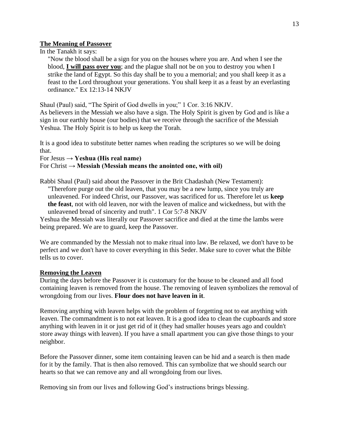#### **The Meaning of Passover**

In the Tanakh it says:

"Now the blood shall be a sign for you on the houses where you are. And when I see the blood, **I will pass over you**; and the plague shall not be on you to destroy you when I strike the land of Egypt. So this day shall be to you a memorial; and you shall keep it as a feast to the Lord throughout your generations. You shall keep it as a feast by an everlasting ordinance." Ex 12:13-14 NKJV

Shaul (Paul) said, "The Spirit of God dwells in you;" 1 Cor. 3:16 NKJV.

As believers in the Messiah we also have a sign. The Holy Spirit is given by God and is like a sign in our earthly house (our bodies) that we receive through the sacrifice of the Messiah Yeshua. The Holy Spirit is to help us keep the Torah.

It is a good idea to substitute better names when reading the scriptures so we will be doing that.

For Jesus **→ Yeshua (His real name)** 

#### For Christ  $\rightarrow$  **Messiah (Messiah means the anointed one, with oil)**

Rabbi Shaul (Paul) said about the Passover in the Brit Chadashah (New Testament): "Therefore purge out the old leaven, that you may be a new lump, since you truly are unleavened. For indeed Christ, our Passover, was sacrificed for us. Therefore let us **keep the feast**, not with old leaven, nor with the leaven of malice and wickedness, but with the unleavened bread of sincerity and truth". 1 Cor 5:7-8 NKJV

Yeshua the Messiah was literally our Passover sacrifice and died at the time the lambs were being prepared. We are to guard, keep the Passover.

We are commanded by the Messiah not to make ritual into law. Be relaxed, we don't have to be perfect and we don't have to cover everything in this Seder. Make sure to cover what the Bible tells us to cover.

### **Removing the Leaven**

During the days before the Passover it is customary for the house to be cleaned and all food containing leaven is removed from the house. The removing of leaven symbolizes the removal of wrongdoing from our lives. **Flour does not have leaven in it**.

Removing anything with leaven helps with the problem of forgetting not to eat anything with leaven. The commandment is to not eat leaven. It is a good idea to clean the cupboards and store anything with leaven in it or just get rid of it (they had smaller houses years ago and couldn't store away things with leaven). If you have a small apartment you can give those things to your neighbor.

Before the Passover dinner, some item containing leaven can be hid and a search is then made for it by the family. That is then also removed. This can symbolize that we should search our hearts so that we can remove any and all wrongdoing from our lives.

Removing sin from our lives and following God's instructions brings blessing.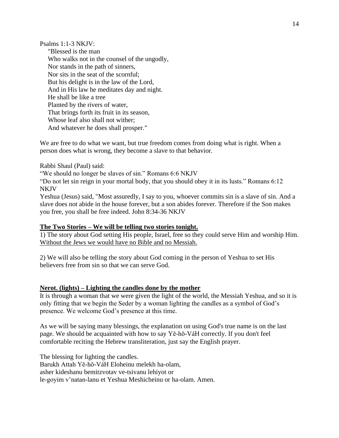Psalms 1:1-3 NKJV:

"Blessed is the man Who walks not in the counsel of the ungodly, Nor stands in the path of sinners, Nor sits in the seat of the scornful; But his delight is in the law of the Lord, And in His law he meditates day and night. He shall be like a tree Planted by the rivers of water, That brings forth its fruit in its season, Whose leaf also shall not wither; And whatever he does shall prosper."

We are free to do what we want, but true freedom comes from doing what is right. When a person does what is wrong, they become a slave to that behavior.

Rabbi Shaul (Paul) said:

"We should no longer be slaves of sin." Romans 6:6 NKJV

"Do not let sin reign in your mortal body, that you should obey it in its lusts." Romans 6:12 NKJV

Yeshua (Jesus) said, "Most assuredly, I say to you, whoever commits sin is a slave of sin. And a slave does not abide in the house forever, but a son abides forever. Therefore if the Son makes you free, you shall be free indeed. John 8:34-36 NKJV

### **The Two Stories – We will be telling two stories tonight.**

1) The story about God setting His people, Israel, free so they could serve Him and worship Him. Without the Jews we would have no Bible and no Messiah.

2) We will also be telling the story about God coming in the person of Yeshua to set His believers free from sin so that we can serve God.

### **Nerot. (lights) – Lighting the candles done by the mother**

It is through a woman that we were given the light of the world, the Messiah Yeshua, and so it is only fitting that we begin the Seder by a woman lighting the candles as a symbol of God's presence. We welcome God's presence at this time.

As we will be saying many blessings, the explanation on using God's true name is on the last page. We should be acquainted with how to say Yĕ-hō-VáH correctly. If you don't feel comfortable reciting the Hebrew transliteration, just say the English prayer.

The blessing for lighting the candles.

Barukh Attah Yĕ-hō-VáH Eloheinu melekh ha-olam,

asher kideshanu bemitzvotav ve-tsivanu lehiyot or

le-goyim v'natan-lanu et Yeshua Meshicheinu or ha-olam. Amen.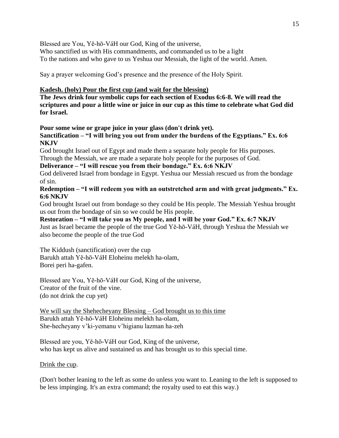15

Blessed are You, Yĕ-hō-VáH our God, King of the universe,

Who sanctified us with His commandments, and commanded us to be a light

To the nations and who gave to us Yeshua our Messiah, the light of the world. Amen.

Say a prayer welcoming God's presence and the presence of the Holy Spirit.

# **Kadesh. (holy) Pour the first cup (and wait for the blessing)**

**The Jews drink four symbolic cups for each section of Exodus 6:6-8. We will read the scriptures and pour a little wine or juice in our cup as this time to celebrate what God did for Israel.** 

**Pour some wine or grape juice in your glass (don't drink yet).** 

**Sanctification – "I will bring you out from under the burdens of the Egyptians." Ex. 6:6 NKJV**

God brought Israel out of Egypt and made them a separate holy people for His purposes. Through the Messiah, we are made a separate holy people for the purposes of God.

**Deliverance – "I will rescue you from their bondage." Ex. 6:6 NKJV**

God delivered Israel from bondage in Egypt. Yeshua our Messiah rescued us from the bondage of sin.

# **Redemption – "I will redeem you with an outstretched arm and with great judgments." Ex. 6:6 NKJV**

God brought Israel out from bondage so they could be His people. The Messiah Yeshua brought us out from the bondage of sin so we could be His people.

**Restoration – "I will take you as My people, and I will be your God." Ex. 6:7 NKJV** Just as Israel became the people of the true God Yĕ-hō-VáH, through Yeshua the Messiah we also become the people of the true God

The Kiddush (sanctification) over the cup Barukh attah Yĕ-hō-VáH Eloheinu melekh ha-olam, Borei peri ha-gafen.

Blessed are You, Yĕ-hō-VáH our God, King of the universe, Creator of the fruit of the vine. (do not drink the cup yet)

We will say the Shehecheyany Blessing – God brought us to this time Barukh attah Yĕ-hō-VáH Eloheinu melekh ha-olam, She-hecheyany v'ki-yemanu v'higianu lazman ha-zeh

Blessed are you, Yĕ-hō-VáH our God, King of the universe, who has kept us alive and sustained us and has brought us to this special time.

Drink the cup.

(Don't bother leaning to the left as some do unless you want to. Leaning to the left is supposed to be less impinging. It's an extra command; the royalty used to eat this way.)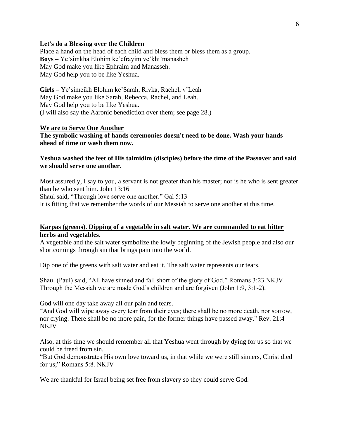### **Let's do a Blessing over the Children**

Place a hand on the head of each child and bless them or bless them as a group. **Boys –** Ye'simkha Elohim ke'efrayim ve'khi'manasheh May God make you like Ephraim and Manasseh. May God help you to be like Yeshua.

**Girls –** Ye'simeikh Elohim ke'Sarah, Rivka, Rachel, v'Leah May God make you like Sarah, Rebecca, Rachel, and Leah. May God help you to be like Yeshua. (I will also say the Aaronic benediction over them; see page 28.)

#### **We are to Serve One Another**

**The symbolic washing of hands ceremonies doesn't need to be done. Wash your hands ahead of time or wash them now.** 

### **Yeshua washed the feet of His talmidim (disciples) before the time of the Passover and said we should serve one another.**

Most assuredly, I say to you, a servant is not greater than his master; nor is he who is sent greater than he who sent him. John 13:16 Shaul said, "Through love serve one another." Gal 5:13

It is fitting that we remember the words of our Messiah to serve one another at this time.

### **Karpas (greens). Dipping of a vegetable in salt water. We are commanded to eat bitter herbs and vegetables.**

A vegetable and the salt water symbolize the lowly beginning of the Jewish people and also our shortcomings through sin that brings pain into the world.

Dip one of the greens with salt water and eat it. The salt water represents our tears.

Shaul (Paul) said, "All have sinned and fall short of the glory of God." Romans 3:23 NKJV Through the Messiah we are made God's children and are forgiven (John 1:9, 3:1-2).

God will one day take away all our pain and tears.

"And God will wipe away every tear from their eyes; there shall be no more death, nor sorrow, nor crying. There shall be no more pain, for the former things have passed away." Rev. 21:4 NKJV

Also, at this time we should remember all that Yeshua went through by dying for us so that we could be freed from sin.

"But God demonstrates His own love toward us, in that while we were still sinners, Christ died for us;" Romans 5:8. NKJV

We are thankful for Israel being set free from slavery so they could serve God.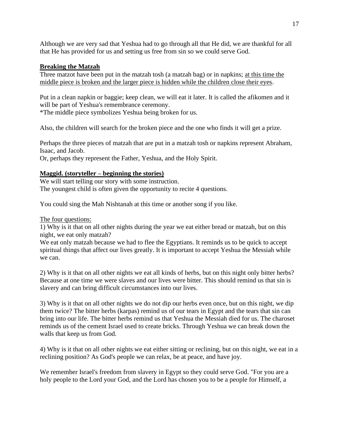Although we are very sad that Yeshua had to go through all that He did, we are thankful for all that He has provided for us and setting us free from sin so we could serve God.

### **Breaking the Matzah**

Three matzot have been put in the matzah tosh (a matzah bag) or in napkins; at this time the middle piece is broken and the larger piece is hidden while the children close their eyes.

Put in a clean napkin or baggie; keep clean, we will eat it later. It is called the afikomen and it will be part of Yeshua's remembrance ceremony. \*The middle piece symbolizes Yeshua being broken for us.

Also, the children will search for the broken piece and the one who finds it will get a prize.

Perhaps the three pieces of matzah that are put in a matzah tosh or napkins represent Abraham, Isaac, and Jacob.

Or, perhaps they represent the Father, Yeshua, and the Holy Spirit.

# **Maggid. (storyteller – beginning the stories)**

We will start telling our story with some instruction. The youngest child is often given the opportunity to recite 4 questions.

You could sing the Mah Nishtanah at this time or another song if you like.

### The four questions:

1) Why is it that on all other nights during the year we eat either bread or matzah, but on this night, we eat only matzah?

We eat only matzah because we had to flee the Egyptians. It reminds us to be quick to accept spiritual things that affect our lives greatly. It is important to accept Yeshua the Messiah while we can.

2) Why is it that on all other nights we eat all kinds of herbs, but on this night only bitter herbs? Because at one time we were slaves and our lives were bitter. This should remind us that sin is slavery and can bring difficult circumstances into our lives.

3) Why is it that on all other nights we do not dip our herbs even once, but on this night, we dip them twice? The bitter herbs (karpas) remind us of our tears in Egypt and the tears that sin can bring into our life. The bitter herbs remind us that Yeshua the Messiah died for us. The charoset reminds us of the cement Israel used to create bricks. Through Yeshua we can break down the walls that keep us from God.

4) Why is it that on all other nights we eat either sitting or reclining, but on this night, we eat in a reclining position? As God's people we can relax, be at peace, and have joy.

We remember Israel's freedom from slavery in Egypt so they could serve God. "For you are a holy people to the Lord your God, and the Lord has chosen you to be a people for Himself, a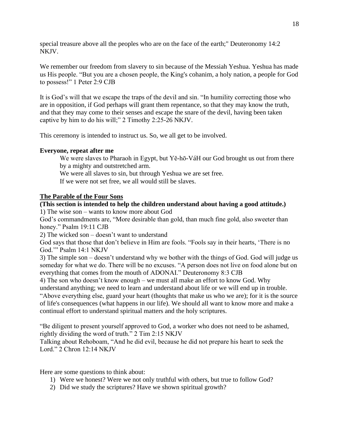special treasure above all the peoples who are on the face of the earth;" Deuteronomy 14:2 NKJV.

We remember our freedom from slavery to sin because of the Messiah Yeshua. Yeshua has made us His people. "But you are a chosen people, the King's cohanim, a holy nation, a people for God to possess!" 1 Peter 2:9 CJB

It is God's will that we escape the traps of the devil and sin. "In humility correcting those who are in opposition, if God perhaps will grant them repentance, so that they may know the truth, and that they may come to their senses and escape the snare of the devil, having been taken captive by him to do his will;" 2 Timothy 2:25-26 NKJV.

This ceremony is intended to instruct us. So, we all get to be involved.

#### **Everyone, repeat after me**

We were slaves to Pharaoh in Egypt, but Yĕ-hō-VáH our God brought us out from there by a mighty and outstretched arm.

We were all slaves to sin, but through Yeshua we are set free.

If we were not set free, we all would still be slaves.

#### **The Parable of the Four Sons**

# **(This section is intended to help the children understand about having a good attitude.)**

1) The wise son – wants to know more about God

God's commandments are, "More desirable than gold, than much fine gold, also sweeter than honey." Psalm 19:11 CJB

2) The wicked son – doesn't want to understand

God says that those that don't believe in Him are fools. "Fools say in their hearts, 'There is no God.'" Psalm 14:1 NKJV

3) The simple son – doesn't understand why we bother with the things of God. God will judge us someday for what we do. There will be no excuses. "A person does not live on food alone but on everything that comes from the mouth of ADONAI." Deuteronomy 8:3 CJB

4) The son who doesn't know enough – we must all make an effort to know God. Why

understand anything; we need to learn and understand about life or we will end up in trouble. "Above everything else, guard your heart (thoughts that make us who we are); for it is the source of life's consequences (what happens in our life). We should all want to know more and make a continual effort to understand spiritual matters and the holy scriptures.

"Be diligent to present yourself approved to God, a worker who does not need to be ashamed, rightly dividing the word of truth." 2 Tim 2:15 NKJV

Talking about Rehoboam, "And he did evil, because he did not prepare his heart to seek the Lord." 2 Chron 12:14 NKJV

Here are some questions to think about:

- 1) Were we honest? Were we not only truthful with others, but true to follow God?
- 2) Did we study the scriptures? Have we shown spiritual growth?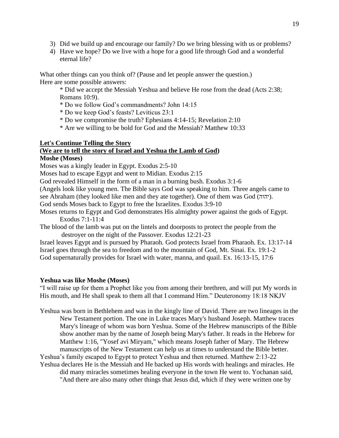- 3) Did we build up and encourage our family? Do we bring blessing with us or problems?
- 4) Have we hope? Do we live with a hope for a good life through God and a wonderful eternal life?

What other things can you think of? (Pause and let people answer the question.) Here are some possible answers:

\* Did we accept the Messiah Yeshua and believe He rose from the dead (Acts 2:38; Romans 10:9).

\* Do we follow God's commandments? John 14:15

\* Do we keep God's feasts? Leviticus 23:1

- \* Do we compromise the truth? Ephesians 4:14-15; Revelation 2:10
- \* Are we willing to be bold for God and the Messiah? Matthew 10:33

#### **Let's Continue Telling the Story**

# **(We are to tell the story of Israel and Yeshua the Lamb of God)**

### **Moshe (Moses)**

Moses was a kingly leader in Egypt. Exodus 2:5-10

Moses had to escape Egypt and went to Midian. Exodus 2:15

God revealed Himself in the form of a man in a burning bush. Exodus 3:1-6

(Angels look like young men. The Bible says God was speaking to him. Three angels came to see Abraham (they looked like men and they ate together). One of them was God (יהוה).

God sends Moses back to Egypt to free the Israelites. Exodus 3:9-10

Moses returns to Egypt and God demonstrates His almighty power against the gods of Egypt. Exodus 7:1-11:4

The blood of the lamb was put on the lintels and doorposts to protect the people from the destroyer on the night of the Passover. Exodus 12:21-23

Israel leaves Egypt and is pursued by Pharaoh. God protects Israel from Pharaoh. Ex. 13:17-14 Israel goes through the sea to freedom and to the mountain of God, Mt. Sinai. Ex. 19:1-2 God supernaturally provides for Israel with water, manna, and quail. Ex. 16:13-15, 17:6

#### **Yeshua was like Moshe (Moses)**

"I will raise up for them a Prophet like you from among their brethren, and will put My words in His mouth, and He shall speak to them all that I command Him." Deuteronomy 18:18 NKJV

Yeshua was born in Bethlehem and was in the kingly line of David. There are two lineages in the New Testament portion. The one in Luke traces Mary's husband Joseph. Matthew traces Mary's lineage of whom was born Yeshua. Some of the Hebrew manuscripts of the Bible show another man by the name of Joseph being Mary's father. It reads in the Hebrew for Matthew 1:16, "Yosef avi Miryam," which means Joseph father of Mary. The Hebrew manuscripts of the New Testament can help us at times to understand the Bible better.

Yeshua's family escaped to Egypt to protect Yeshua and then returned. Matthew 2:13-22 Yeshua declares He is the Messiah and He backed up His words with healings and miracles. He

did many miracles sometimes healing everyone in the town He went to. Yochanan said, "And there are also many other things that Jesus did, which if they were written one by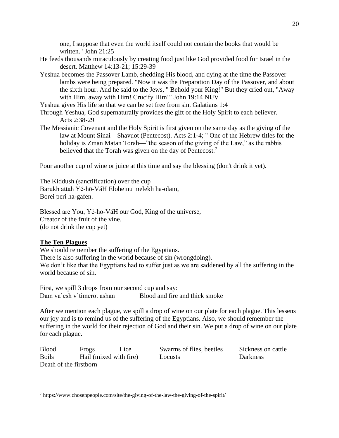one, I suppose that even the world itself could not contain the books that would be written." John 21:25

- He feeds thousands miraculously by creating food just like God provided food for Israel in the desert. Matthew 14:13-21; 15:29-39
- Yeshua becomes the Passover Lamb, shedding His blood, and dying at the time the Passover lambs were being prepared. "Now it was the Preparation Day of the Passover, and about the sixth hour. And he said to the Jews, " Behold your King!" But they cried out, "Away with Him, away with Him! Crucify Him!" John 19:14 NIJV

Yeshua gives His life so that we can be set free from sin. Galatians 1:4

- Through Yeshua, God supernaturally provides the gift of the Holy Spirit to each believer. Acts 2:38-29
- The Messianic Covenant and the Holy Spirit is first given on the same day as the giving of the law at Mount Sinai – Shavuot (Pentecost). Acts 2:1-4; " One of the Hebrew titles for the holiday is Zman Matan Torah—"the season of the giving of the Law," as the rabbis believed that the Torah was given on the day of Pentecost.<sup>7</sup>

Pour another cup of wine or juice at this time and say the blessing (don't drink it yet).

The Kiddush (sanctification) over the cup Barukh attah Yĕ-hō-VáH Eloheinu melekh ha-olam, Borei peri ha-gafen.

Blessed are You, Yĕ-hō-VáH our God, King of the universe, Creator of the fruit of the vine. (do not drink the cup yet)

#### **The Ten Plagues**

We should remember the suffering of the Egyptians.

There is also suffering in the world because of sin (wrongdoing).

We don't like that the Egyptians had to suffer just as we are saddened by all the suffering in the world because of sin.

First, we spill 3 drops from our second cup and say: Dam va'esh v'timerot ashan Blood and fire and thick smoke

After we mention each plague, we spill a drop of wine on our plate for each plague. This lessens our joy and is to remind us of the suffering of the Egyptians. Also, we should remember the suffering in the world for their rejection of God and their sin. We put a drop of wine on our plate for each plague.

| <b>Blood</b>           | Frogs                  | Lice | Swarms of flies, beetles | Sickness on cattle |
|------------------------|------------------------|------|--------------------------|--------------------|
| <b>Boils</b>           | Hail (mixed with fire) |      | Locusts                  | Darkness           |
| Death of the firstborn |                        |      |                          |                    |

<sup>7</sup> https://www.chosenpeople.com/site/the-giving-of-the-law-the-giving-of-the-spirit/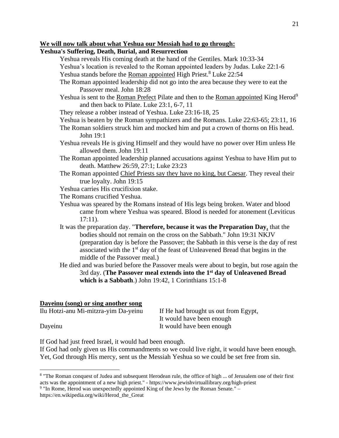# **We will now talk about what Yeshua our Messiah had to go through:**

# **Yeshua's Suffering, Death, Burial, and Resurrection**

- Yeshua reveals His coming death at the hand of the Gentiles. Mark 10:33-34
- Yeshua's location is revealed to the Roman appointed leaders by Judas. Luke 22:1-6 Yeshua stands before the Roman appointed High Priest.<sup>8</sup> Luke 22:54
- The Roman appointed leadership did not go into the area because they were to eat the Passover meal. John 18:28
- Yeshua is sent to the Roman Prefect Pilate and then to the Roman appointed King Herod<sup>9</sup> and then back to Pilate. Luke 23:1, 6-7, 11
- They release a robber instead of Yeshua. Luke 23:16-18, 25
- Yeshua is beaten by the Roman sympathizers and the Romans. Luke 22:63-65; 23:11, 16
- The Roman soldiers struck him and mocked him and put a crown of thorns on His head. John 19:1
- Yeshua reveals He is giving Himself and they would have no power over Him unless He allowed them. John 19:11
- The Roman appointed leadership planned accusations against Yeshua to have Him put to death. Matthew 26:59, 27:1; Luke 23:23
- The Roman appointed Chief Priests say they have no king, but Caesar. They reveal their true loyalty. John 19:15
- Yeshua carries His crucifixion stake.
- The Romans crucified Yeshua.
- Yeshua was speared by the Romans instead of His legs being broken. Water and blood came from where Yeshua was speared. Blood is needed for atonement (Leviticus 17:11).
- It was the preparation day. "**Therefore, because it was the Preparation Day**, that the bodies should not remain on the cross on the Sabbath." John 19:31 NKJV (preparation day is before the Passover; the Sabbath in this verse is the day of rest associated with the 1st day of the feast of Unleavened Bread that begins in the middle of the Passover meal.)
- He died and was buried before the Passover meals were about to begin, but rose again the 3rd day. (**The Passover meal extends into the 1st day of Unleavened Bread which is a Sabbath**.) John 19:42, 1 Corinthians 15:1-8

# **Dayeinu (song) or sing another song**

| Ilu Hotzi-anu Mi-mitzra-yim Da-yeinu | If He had brought us out from Egypt, |  |
|--------------------------------------|--------------------------------------|--|
|                                      | It would have been enough            |  |
| Dayeinu                              | It would have been enough            |  |

If God had just freed Israel, it would had been enough.

If God had only given us His commandments so we could live right, it would have been enough. Yet, God through His mercy, sent us the Messiah Yeshua so we could be set free from sin.

<sup>&</sup>lt;sup>8</sup> "The Roman conquest of Judea and subsequent Herodean rule, the office of high ... of Jerusalem one of their first acts was the appointment of a new high priest." - https://www.jewishvirtuallibrary.org/high-priest

 $9$  "In Rome, Herod was unexpectedly appointed King of the Jews by the Roman Senate."  $$ https://en.wikipedia.org/wiki/Herod\_the\_Great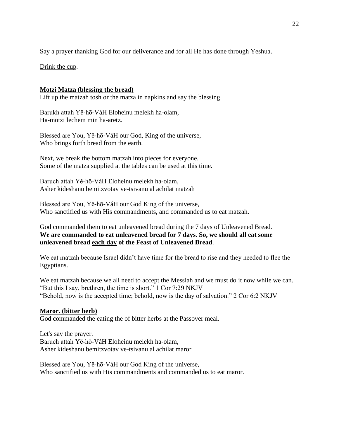Say a prayer thanking God for our deliverance and for all He has done through Yeshua.

Drink the cup.

# **Motzi Matza (blessing the bread)**

Lift up the matzah tosh or the matza in napkins and say the blessing

Barukh attah Yĕ-hō-VáH Eloheinu melekh ha-olam, Ha-motzi lechem min ha-aretz.

Blessed are You, Yĕ-hō-VáH our God, King of the universe, Who brings forth bread from the earth.

Next, we break the bottom matzah into pieces for everyone. Some of the matza supplied at the tables can be used at this time.

Baruch attah Yĕ-hō-VáH Eloheinu melekh ha-olam, Asher kideshanu bemitzvotav ve-tsivanu al achilat matzah

Blessed are You, Yĕ-hō-VáH our God King of the universe, Who sanctified us with His commandments, and commanded us to eat matzah.

God commanded them to eat unleavened bread during the 7 days of Unleavened Bread. **We are commanded to eat unleavened bread for 7 days. So, we should all eat some unleavened bread each day of the Feast of Unleavened Bread**.

We eat matzah because Israel didn't have time for the bread to rise and they needed to flee the Egyptians.

We eat matzah because we all need to accept the Messiah and we must do it now while we can. "But this I say, brethren, the time is short." 1 Cor 7:29 NKJV "Behold, now is the accepted time; behold, now is the day of salvation." 2 Cor 6:2 NKJV

### **Maror. (bitter herb)**

God commanded the eating the of bitter herbs at the Passover meal.

Let's say the prayer. Baruch attah Yĕ-hō-VáH Eloheinu melekh ha-olam, Asher kideshanu bemitzvotav ve-tsivanu al achilat maror

Blessed are You, Yĕ-hō-VáH our God King of the universe, Who sanctified us with His commandments and commanded us to eat maror.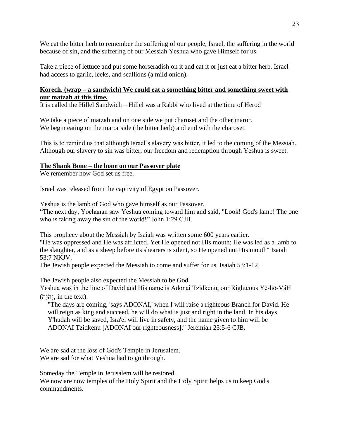We eat the bitter herb to remember the suffering of our people, Israel, the suffering in the world because of sin, and the suffering of our Messiah Yeshua who gave Himself for us.

Take a piece of lettuce and put some horseradish on it and eat it or just eat a bitter herb. Israel had access to garlic, leeks, and scallions (a mild onion).

# **Korech. (wrap – a sandwich) We could eat a something bitter and something sweet with our matzah at this time.**

It is called the Hillel Sandwich – Hillel was a Rabbi who lived at the time of Herod

We take a piece of matzah and on one side we put charoset and the other maror. We begin eating on the maror side (the bitter herb) and end with the charoset.

This is to remind us that although Israel's slavery was bitter, it led to the coming of the Messiah. Although our slavery to sin was bitter; our freedom and redemption through Yeshua is sweet.

# **The Shank Bone – the bone on our Passover plate**

We remember how God set us free.

Israel was released from the captivity of Egypt on Passover.

Yeshua is the lamb of God who gave himself as our Passover. "The next day, Yochanan saw Yeshua coming toward him and said, "Look! God's lamb! The one who is taking away the sin of the world!" John 1:29 CJB.

This prophecy about the Messiah by Isaiah was written some 600 years earlier. "He was oppressed and He was afflicted, Yet He opened not His mouth; He was led as a lamb to the slaughter, and as a sheep before its shearers is silent, so He opened not His mouth" Isaiah 53:7 NKJV.

The Jewish people expected the Messiah to come and suffer for us. Isaiah 53:1-12

The Jewish people also expected the Messiah to be God.

Yeshua was in the line of David and His name is Adonai Tzidkenu, our Righteous Yĕ-hō-VáH  $\overline{\mathbf{r}}$ . in the text).

"The days are coming, 'says ADONAI,' when I will raise a righteous Branch for David. He will reign as king and succeed, he will do what is just and right in the land. In his days Y'hudah will be saved, Isra'el will live in safety, and the name given to him will be ADONAI Tzidkenu [ADONAI our righteousness];" Jeremiah 23:5-6 CJB.

We are sad at the loss of God's Temple in Jerusalem. We are sad for what Yeshua had to go through.

Someday the Temple in Jerusalem will be restored.

We now are now temples of the Holy Spirit and the Holy Spirit helps us to keep God's commandments.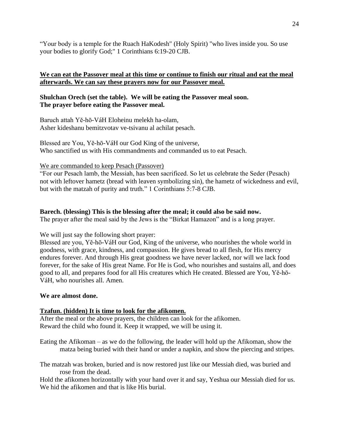"Your body is a temple for the Ruach HaKodesh" (Holy Spirit) "who lives inside you. So use your bodies to glorify God;" 1 Corinthians 6:19-20 CJB.

# **We can eat the Passover meal at this time or continue to finish our ritual and eat the meal afterwards. We can say these prayers now for our Passover meal.**

### **Shulchan Orech (set the table). We will be eating the Passover meal soon. The prayer before eating the Passover meal.**

Baruch attah Yĕ-hō-VáH Eloheinu melekh ha-olam, Asher kideshanu bemitzvotav ve-tsivanu al achilat pesach.

Blessed are You, Yĕ-hō-VáH our God King of the universe, Who sanctified us with His commandments and commanded us to eat Pesach.

We are commanded to keep Pesach (Passover)

"For our Pesach lamb, the Messiah, has been sacrificed. So let us celebrate the Seder (Pesach) not with leftover hametz (bread with leaven symbolizing sin), the hametz of wickedness and evil, but with the matzah of purity and truth." 1 Corinthians 5:7-8 CJB.

# **Barech. (blessing) This is the blessing after the meal; it could also be said now.**

The prayer after the meal said by the Jews is the "Birkat Hamazon" and is a long prayer.

We will just say the following short prayer:

Blessed are you, Yĕ-hō-VáH our God, King of the universe, who nourishes the whole world in goodness, with grace, kindness, and compassion. He gives bread to all flesh, for His mercy endures forever. And through His great goodness we have never lacked, nor will we lack food forever, for the sake of His great Name. For He is God, who nourishes and sustains all, and does good to all, and prepares food for all His creatures which He created. Blessed are You, Yĕ-hō-VáH, who nourishes all. Amen.

### **We are almost done.**

### **Tzafun. (hidden) It is time to look for the afikomen.**

After the meal or the above prayers, the children can look for the afikomen. Reward the child who found it. Keep it wrapped, we will be using it.

Eating the Afikoman – as we do the following, the leader will hold up the Afikoman, show the matza being buried with their hand or under a napkin, and show the piercing and stripes.

The matzah was broken, buried and is now restored just like our Messiah died, was buried and rose from the dead.

Hold the afikomen horizontally with your hand over it and say, Yeshua our Messiah died for us. We hid the afikomen and that is like His burial.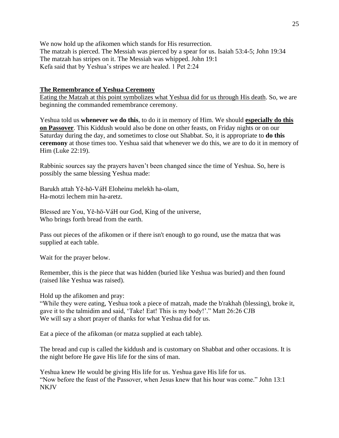We now hold up the afikomen which stands for His resurrection. The matzah is pierced. The Messiah was pierced by a spear for us. Isaiah 53:4-5; John 19:34 The matzah has stripes on it. The Messiah was whipped. John 19:1 Kefa said that by Yeshua's stripes we are healed. 1 Pet 2:24

#### **The Remembrance of Yeshua Ceremony**

Eating the Matzah at this point symbolizes what Yeshua did for us through His death. So, we are beginning the commanded remembrance ceremony.

Yeshua told us **whenever we do this**, to do it in memory of Him. We should **especially do this on Passover**. This Kiddush would also be done on other feasts, on Friday nights or on our Saturday during the day, and sometimes to close out Shabbat. So, it is appropriate to **do this ceremony** at those times too. Yeshua said that whenever we do this, we are to do it in memory of Him (Luke 22:19).

Rabbinic sources say the prayers haven't been changed since the time of Yeshua. So, here is possibly the same blessing Yeshua made:

Barukh attah Yĕ-hō-VáH Eloheinu melekh ha-olam, Ha-motzi lechem min ha-aretz.

Blessed are You, Yĕ-hō-VáH our God, King of the universe, Who brings forth bread from the earth.

Pass out pieces of the afikomen or if there isn't enough to go round, use the matza that was supplied at each table.

Wait for the prayer below.

Remember, this is the piece that was hidden (buried like Yeshua was buried) and then found (raised like Yeshua was raised).

Hold up the afikomen and pray:

"While they were eating, Yeshua took a piece of matzah, made the b'rakhah (blessing), broke it, gave it to the talmidim and said, 'Take! Eat! This is my body!'." Matt 26:26 CJB We will say a short prayer of thanks for what Yeshua did for us.

Eat a piece of the afikoman (or matza supplied at each table).

The bread and cup is called the kiddush and is customary on Shabbat and other occasions. It is the night before He gave His life for the sins of man.

Yeshua knew He would be giving His life for us. Yeshua gave His life for us. "Now before the feast of the Passover, when Jesus knew that his hour was come." John 13:1 NKJV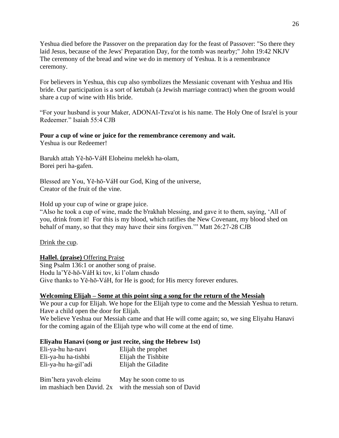Yeshua died before the Passover on the preparation day for the feast of Passover: "So there they laid Jesus, because of the Jews' Preparation Day, for the tomb was nearby;" John 19:42 NKJV The ceremony of the bread and wine we do in memory of Yeshua. It is a remembrance ceremony.

For believers in Yeshua, this cup also symbolizes the Messianic covenant with Yeshua and His bride. Our participation is a sort of ketubah (a Jewish marriage contract) when the groom would share a cup of wine with His bride.

"For your husband is your Maker, ADONAI-Tzva'ot is his name. The Holy One of Isra'el is your Redeemer." Isaiah 55:4 CJB

#### **Pour a cup of wine or juice for the remembrance ceremony and wait.**

Yeshua is our Redeemer!

Barukh attah Yĕ-hō-VáH Eloheinu melekh ha-olam, Borei peri ha-gafen.

Blessed are You, Yĕ-hō-VáH our God, King of the universe, Creator of the fruit of the vine.

Hold up your cup of wine or grape juice.

"Also he took a cup of wine, made the b'rakhah blessing, and gave it to them, saying, 'All of you, drink from it! For this is my blood, which ratifies the New Covenant, my blood shed on behalf of many, so that they may have their sins forgiven.'" Matt 26:27-28 CJB

#### Drink the cup.

#### **Hallel. (praise)** Offering Praise

Sing Psalm 136:1 or another song of praise. Hodu la'Yĕ-hō-VáH ki tov, ki l'olam chasdo Give thanks to Yĕ-hō-VáH, for He is good; for His mercy forever endures.

#### **Welcoming Elijah – Some at this point sing a song for the return of the Messiah**

We pour a cup for Elijah. We hope for the Elijah type to come and the Messiah Yeshua to return. Have a child open the door for Elijah.

We believe Yeshua our Messiah came and that He will come again; so, we sing Eliyahu Hanavi for the coming again of the Elijah type who will come at the end of time.

#### **Eliyahu Hanavi (song or just recite, sing the Hebrew 1st)**

| Eli-ya-hu ha-navi         | Elijah the prophet            |
|---------------------------|-------------------------------|
| Eli-ya-hu ha-tishbi       | Elijah the Tishbite           |
| Eli-ya-hu ha-gil'adi      | Elijah the Giladite           |
| Bim'hera yavoh eleinu     | May he soon come to us        |
| im mashiach ben David. 2x | with the messiah son of David |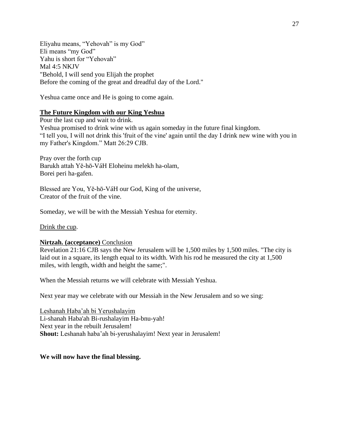Eliyahu means, "Yehovah" is my God" Eli means "my God" Yahu is short for "Yehovah" Mal 4:5 NKJV "Behold, I will send you Elijah the prophet Before the coming of the great and dreadful day of the Lord."

Yeshua came once and He is going to come again.

### **The Future Kingdom with our King Yeshua**

Pour the last cup and wait to drink. Yeshua promised to drink wine with us again someday in the future final kingdom. "I tell you, I will not drink this 'fruit of the vine' again until the day I drink new wine with you in my Father's Kingdom." Matt 26:29 CJB.

Pray over the forth cup Barukh attah Yĕ-hō-VáH Eloheinu melekh ha-olam, Borei peri ha-gafen.

Blessed are You, Yĕ-hō-VáH our God, King of the universe, Creator of the fruit of the vine.

Someday, we will be with the Messiah Yeshua for eternity.

Drink the cup.

#### **Nirtzah. (acceptance)** Conclusion

Revelation 21:16 CJB says the New Jerusalem will be 1,500 miles by 1,500 miles. "The city is laid out in a square, its length equal to its width. With his rod he measured the city at 1,500 miles, with length, width and height the same;".

When the Messiah returns we will celebrate with Messiah Yeshua.

Next year may we celebrate with our Messiah in the New Jerusalem and so we sing:

Leshanah Haba'ah bi Yerushalayim Li-shanah Haba'ah Bi-rushalayim Ha-bnu-yah! Next year in the rebuilt Jerusalem! **Shout:** Leshanah haba'ah bi-yerushalayim! Next year in Jerusalem!

**We will now have the final blessing.**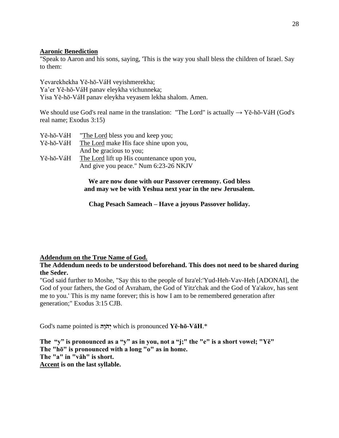# **Aaronic Benediction**

"Speak to Aaron and his sons, saying, 'This is the way you shall bless the children of Israel. Say to them:

Yevarekhekha Yĕ-hō-VáH veyishmerekha; Ya'er Yĕ-hō-VáH panav eleykha vichunneka; Yisa Yĕ-hō-VáH panav eleykha veyasem lekha shalom. Amen.

We should use God's real name in the translation: "The Lord" is actually  $\rightarrow$  Ye-hō-VáH (God's real name; Exodus 3:15)

| Yĕ-hō-VáH | "The Lord bless you and keep you;          |
|-----------|--------------------------------------------|
| Yĕ-hō-VáH | The Lord make His face shine upon you,     |
|           | And be gracious to you;                    |
| Yĕ-hō-VáH | The Lord lift up His countenance upon you, |
|           | And give you peace." Num 6:23-26 NKJV      |

**We are now done with our Passover ceremony. God bless and may we be with Yeshua next year in the new Jerusalem.**

**Chag Pesach Sameach – Have a joyous Passover holiday.**

# **Addendum on the True Name of God.**

**The Addendum needs to be understood beforehand. This does not need to be shared during the Seder.**

"God said further to Moshe, "Say this to the people of Isra'el:'Yud-Heh-Vav-Heh [ADONAI], the God of your fathers, the God of Avraham, the God of Yitz'chak and the God of Ya'akov, has sent me to you.' This is my name forever; this is how I am to be remembered generation after generation;" Exodus 3:15 CJB.

God's name pointed is **הָו ֹה ְי** which is pronounced **Yĕ-hō-VăH**.\*

**The "y" is pronounced as a "y" as in you, not a "j;" the "e" is a short vowel; "Yĕ" The "hō" is pronounced with a long "o" as in home. The "a" in "văh" is short. Accent is on the last syllable.**